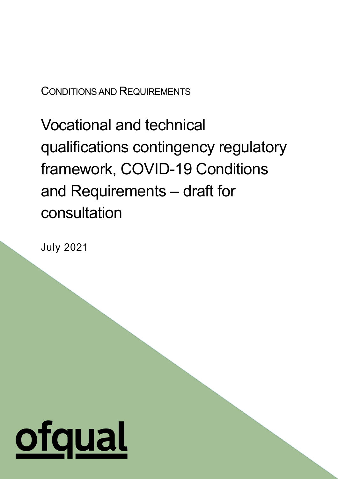CONDITIONS AND REQUIREMENTS

Vocational and technical qualifications contingency regulatory framework, COVID-19 Conditions and Requirements – draft for consultation

July 2021

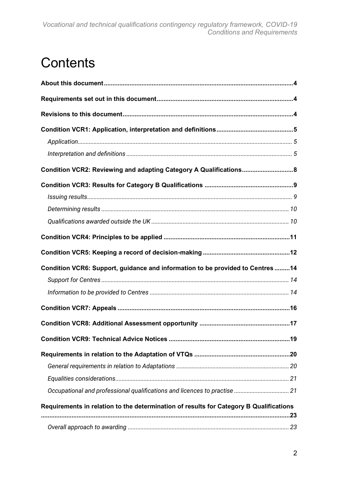## **Contents**

| Condition VCR2: Reviewing and adapting Category A Qualifications 8                     |  |
|----------------------------------------------------------------------------------------|--|
|                                                                                        |  |
|                                                                                        |  |
|                                                                                        |  |
|                                                                                        |  |
|                                                                                        |  |
|                                                                                        |  |
| Condition VCR6: Support, guidance and information to be provided to Centres14          |  |
|                                                                                        |  |
|                                                                                        |  |
|                                                                                        |  |
|                                                                                        |  |
|                                                                                        |  |
|                                                                                        |  |
|                                                                                        |  |
|                                                                                        |  |
| Occupational and professional qualifications and licences to practise  21              |  |
| Requirements in relation to the determination of results for Category B Qualifications |  |
|                                                                                        |  |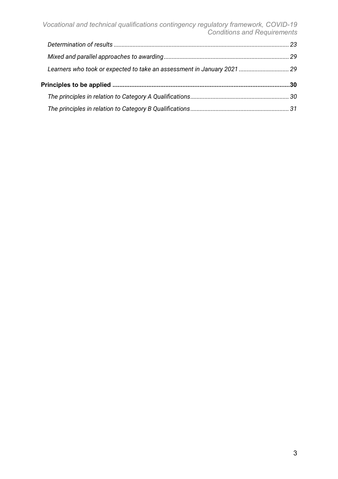*Vocational and technical qualifications contingency regulatory framework, COVID-19 Conditions and Requirements*

| Learners who took or expected to take an assessment in January 2021  29 |  |
|-------------------------------------------------------------------------|--|
|                                                                         |  |
| Principles to be applied ………………………………………………………………………………………30            |  |
|                                                                         |  |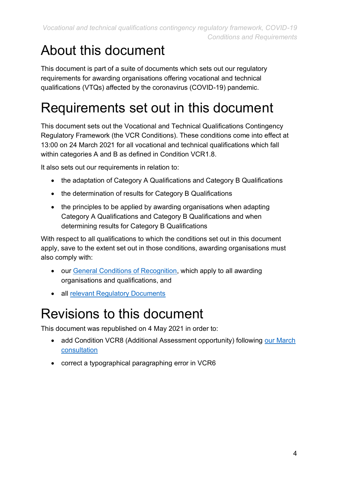## <span id="page-3-0"></span>About this document

This document is part of a suite of documents which sets out our regulatory requirements for awarding organisations offering vocational and technical qualifications (VTQs) affected by the coronavirus (COVID-19) pandemic.

## <span id="page-3-1"></span>Requirements set out in this document

This document sets out the Vocational and Technical Qualifications Contingency Regulatory Framework (the VCR Conditions). These conditions come into effect at 13:00 on 24 March 2021 for all vocational and technical qualifications which fall within categories A and B as defined in Condition VCR1.8.

It also sets out our requirements in relation to:

- the adaptation of Category A Qualifications and Category B Qualifications
- the determination of results for Category B Qualifications
- the principles to be applied by awarding organisations when adapting Category A Qualifications and Category B Qualifications and when determining results for Category B Qualifications

With respect to all qualifications to which the conditions set out in this document apply, save to the extent set out in those conditions, awarding organisations must also comply with:

- our [General Conditions of Recognition,](https://www.gov.uk/guidance/ofqual-handbook) which apply to all awarding organisations and qualifications, and
- all [relevant Regulatory Documents](https://www.gov.uk/guidance/regulatory-document-list)

## <span id="page-3-2"></span>Revisions to this document

This document was republished on 4 May 2021 in order to:

- add Condition VCR8 (Additional Assessment opportunity) following our March [consultation](https://www.gov.uk/government/consultations/consultation-on-autumn-assessment-opportunities-for-vtqs/consultation-on-autumn-assessment-opportunities-for-vtqs)
- correct a typographical paragraphing error in VCR6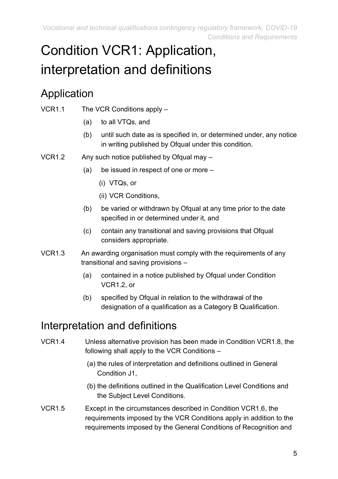*Vocational and technical qualifications contingency regulatory framework, COVID-19 Conditions and Requirements*

# <span id="page-4-0"></span>Condition VCR1: Application, interpretation and definitions

### <span id="page-4-1"></span>Application

- VCR1.1 The VCR Conditions apply
	- (a) to all VTQs, and
	- (b) until such date as is specified in, or determined under, any notice in writing published by Ofqual under this condition.
- VCR1.2 Any such notice published by Ofqual may
	- (a) be issued in respect of one or more
		- (i) VTQs, or
		- (ii) VCR Conditions,
	- (b) be varied or withdrawn by Ofqual at any time prior to the date specified in or determined under it, and
	- (c) contain any transitional and saving provisions that Ofqual considers appropriate.
- VCR1.3 An awarding organisation must comply with the requirements of any transitional and saving provisions –
	- (a) contained in a notice published by Ofqual under Condition VCR1.2, or
	- (b) specified by Ofqual in relation to the withdrawal of the designation of a qualification as a Category B Qualification.

### <span id="page-4-2"></span>Interpretation and definitions

- VCR1.4 Unless alternative provision has been made in Condition VCR1.8, the following shall apply to the VCR Conditions –
	- (a) the rules of interpretation and definitions outlined in General Condition J1,
	- (b) the definitions outlined in the Qualification Level Conditions and the Subject Level Conditions.
- VCR1.5 Except in the circumstances described in Condition VCR1.6, the requirements imposed by the VCR Conditions apply in addition to the requirements imposed by the General Conditions of Recognition and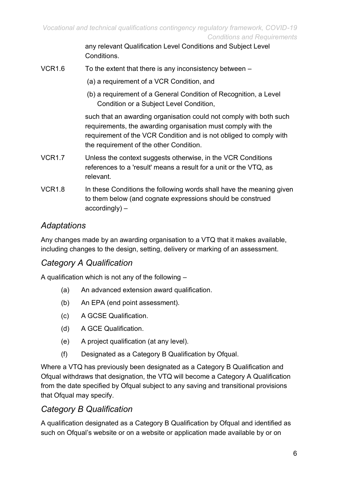any relevant Qualification Level Conditions and Subject Level Conditions.

- VCR1.6 To the extent that there is any inconsistency between  $-$ 
	- (a) a requirement of a VCR Condition, and
	- (b) a requirement of a General Condition of Recognition, a Level Condition or a Subject Level Condition,

such that an awarding organisation could not comply with both such requirements, the awarding organisation must comply with the requirement of the VCR Condition and is not obliged to comply with the requirement of the other Condition.

- VCR1.7 Unless the context suggests otherwise, in the VCR Conditions references to a 'result' means a result for a unit or the VTQ, as relevant.
- VCR1.8 In these Conditions the following words shall have the meaning given to them below (and cognate expressions should be construed accordingly) –

#### *Adaptations*

Any changes made by an awarding organisation to a VTQ that it makes available, including changes to the design, setting, delivery or marking of an assessment.

#### *Category A Qualification*

A qualification which is not any of the following –

- (a) An advanced extension award qualification.
- (b) An EPA (end point assessment).
- (c) A GCSE Qualification.
- (d) A GCE Qualification.
- (e) A project qualification (at any level).
- (f) Designated as a Category B Qualification by Ofqual.

Where a VTQ has previously been designated as a Category B Qualification and Ofqual withdraws that designation, the VTQ will become a Category A Qualification from the date specified by Ofqual subject to any saving and transitional provisions that Ofqual may specify.

#### *Category B Qualification*

A qualification designated as a Category B Qualification by Ofqual and identified as such on Ofqual's website or on a website or application made available by or on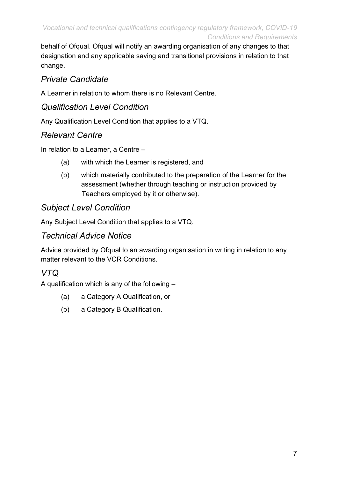behalf of Ofqual. Ofqual will notify an awarding organisation of any changes to that designation and any applicable saving and transitional provisions in relation to that change.

#### *Private Candidate*

A Learner in relation to whom there is no Relevant Centre.

#### *Qualification Level Condition*

Any Qualification Level Condition that applies to a VTQ.

#### *Relevant Centre*

In relation to a Learner, a Centre –

- (a) with which the Learner is registered, and
- (b) which materially contributed to the preparation of the Learner for the assessment (whether through teaching or instruction provided by Teachers employed by it or otherwise).

#### *Subject Level Condition*

Any Subject Level Condition that applies to a VTQ.

#### *Technical Advice Notice*

Advice provided by Ofqual to an awarding organisation in writing in relation to any matter relevant to the VCR Conditions.

#### *VTQ*

A qualification which is any of the following –

- (a) a Category A Qualification, or
- (b) a Category B Qualification.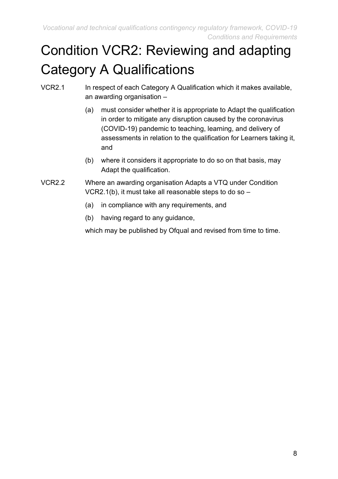# <span id="page-7-0"></span>Condition VCR2: Reviewing and adapting Category A Qualifications

- VCR2.1 In respect of each Category A Qualification which it makes available, an awarding organisation –
	- (a) must consider whether it is appropriate to Adapt the qualification in order to mitigate any disruption caused by the coronavirus (COVID-19) pandemic to teaching, learning, and delivery of assessments in relation to the qualification for Learners taking it, and
	- (b) where it considers it appropriate to do so on that basis, may Adapt the qualification.
- VCR2.2 Where an awarding organisation Adapts a VTQ under Condition VCR2.1(b), it must take all reasonable steps to do so –
	- (a) in compliance with any requirements, and
	- (b) having regard to any guidance,

which may be published by Ofqual and revised from time to time.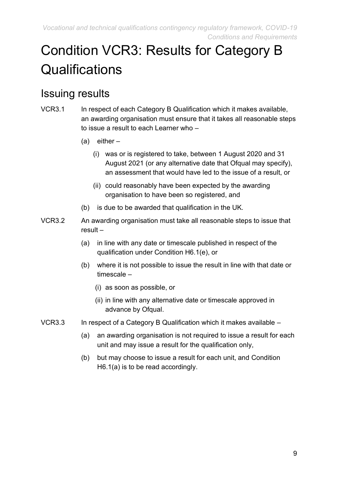# <span id="page-8-0"></span>Condition VCR3: Results for Category B **Qualifications**

### <span id="page-8-1"></span>Issuing results

- VCR3.1 In respect of each Category B Qualification which it makes available, an awarding organisation must ensure that it takes all reasonable steps to issue a result to each Learner who –
	- $(a)$  either
		- (i) was or is registered to take, between 1 August 2020 and 31 August 2021 (or any alternative date that Ofqual may specify), an assessment that would have led to the issue of a result, or
		- (ii) could reasonably have been expected by the awarding organisation to have been so registered, and
	- (b) is due to be awarded that qualification in the UK.
- VCR3.2 An awarding organisation must take all reasonable steps to issue that result –
	- (a) in line with any date or timescale published in respect of the qualification under Condition H6.1(e), or
	- (b) where it is not possible to issue the result in line with that date or timescale –
		- (i) as soon as possible, or
		- (ii) in line with any alternative date or timescale approved in advance by Ofqual.
- VCR3.3 In respect of a Category B Qualification which it makes available
	- (a) an awarding organisation is not required to issue a result for each unit and may issue a result for the qualification only,
	- (b) but may choose to issue a result for each unit, and Condition H6.1(a) is to be read accordingly.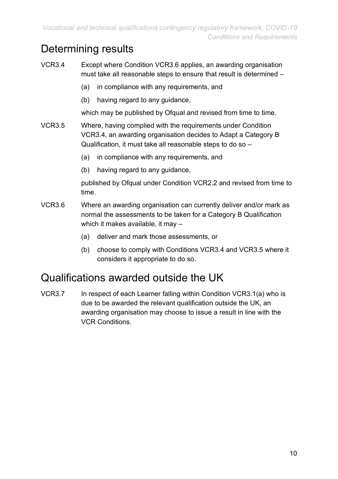### <span id="page-9-0"></span>Determining results

VCR3.4 Except where Condition VCR3.6 applies, an awarding organisation must take all reasonable steps to ensure that result is determined –

- (a) in compliance with any requirements, and
- (b) having regard to any guidance,

which may be published by Ofqual and revised from time to time.

- VCR3.5 Where, having complied with the requirements under Condition VCR3.4, an awarding organisation decides to Adapt a Category B Qualification, it must take all reasonable steps to do so –
	- (a) in compliance with any requirements, and
	- (b) having regard to any guidance,

published by Ofqual under Condition VCR2.2 and revised from time to time.

- VCR3.6 Where an awarding organisation can currently deliver and/or mark as normal the assessments to be taken for a Category B Qualification which it makes available, it may –
	- (a) deliver and mark those assessments, or
	- (b) choose to comply with Conditions VCR3.4 and VCR3.5 where it considers it appropriate to do so.

### <span id="page-9-1"></span>Qualifications awarded outside the UK

VCR3.7 In respect of each Learner falling within Condition VCR3.1(a) who is due to be awarded the relevant qualification outside the UK, an awarding organisation may choose to issue a result in line with the VCR Conditions.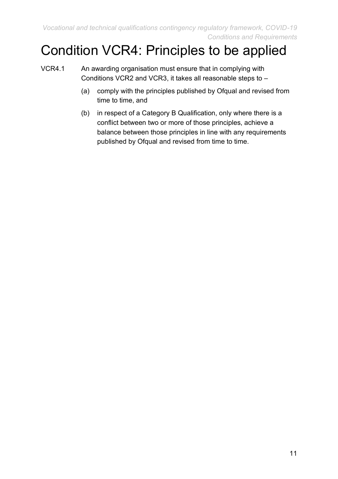*Vocational and technical qualifications contingency regulatory framework, COVID-19 Conditions and Requirements*

## <span id="page-10-0"></span>Condition VCR4: Principles to be applied

- VCR4.1 An awarding organisation must ensure that in complying with Conditions VCR2 and VCR3, it takes all reasonable steps to –
	- (a) comply with the principles published by Ofqual and revised from time to time, and
	- (b) in respect of a Category B Qualification, only where there is a conflict between two or more of those principles, achieve a balance between those principles in line with any requirements published by Ofqual and revised from time to time.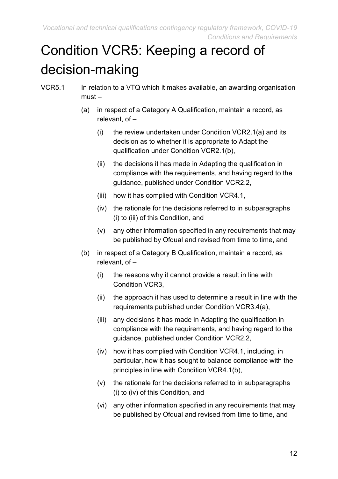# <span id="page-11-0"></span>Condition VCR5: Keeping a record of decision-making

- VCR5.1 In relation to a VTQ which it makes available, an awarding organisation must –
	- (a) in respect of a Category A Qualification, maintain a record, as relevant, of –
		- (i) the review undertaken under Condition VCR2.1(a) and its decision as to whether it is appropriate to Adapt the qualification under Condition VCR2.1(b),
		- (ii) the decisions it has made in Adapting the qualification in compliance with the requirements, and having regard to the guidance, published under Condition VCR2.2,
		- (iii) how it has complied with Condition VCR4.1,
		- (iv) the rationale for the decisions referred to in subparagraphs (i) to (iii) of this Condition, and
		- (v) any other information specified in any requirements that may be published by Ofqual and revised from time to time, and
	- (b) in respect of a Category B Qualification, maintain a record, as relevant, of –
		- (i) the reasons why it cannot provide a result in line with Condition VCR3,
		- (ii) the approach it has used to determine a result in line with the requirements published under Condition VCR3.4(a),
		- (iii) any decisions it has made in Adapting the qualification in compliance with the requirements, and having regard to the guidance, published under Condition VCR2.2,
		- (iv) how it has complied with Condition VCR4.1, including, in particular, how it has sought to balance compliance with the principles in line with Condition VCR4.1(b),
		- (v) the rationale for the decisions referred to in subparagraphs (i) to (iv) of this Condition, and
		- (vi) any other information specified in any requirements that may be published by Ofqual and revised from time to time, and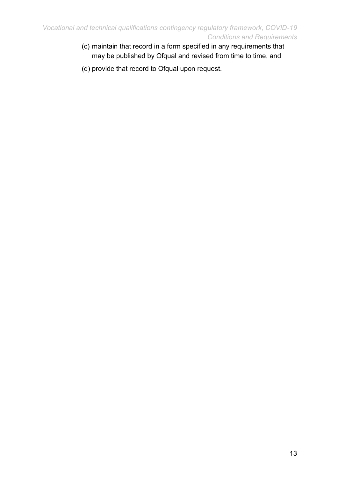- (c) maintain that record in a form specified in any requirements that may be published by Ofqual and revised from time to time, and
- (d) provide that record to Ofqual upon request.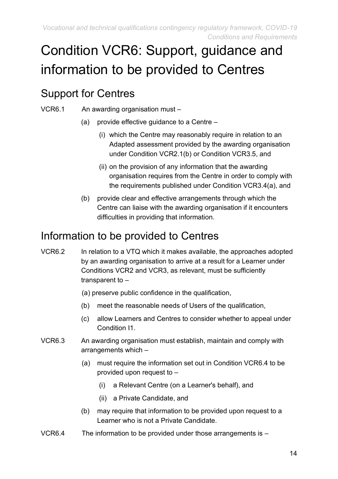# <span id="page-13-0"></span>Condition VCR6: Support, guidance and information to be provided to Centres

### <span id="page-13-1"></span>Support for Centres

- VCR6.1 An awarding organisation must
	- (a) provide effective guidance to a Centre
		- (i) which the Centre may reasonably require in relation to an Adapted assessment provided by the awarding organisation under Condition VCR2.1(b) or Condition VCR3.5, and
		- (ii) on the provision of any information that the awarding organisation requires from the Centre in order to comply with the requirements published under Condition VCR3.4(a), and
	- (b) provide clear and effective arrangements through which the Centre can liaise with the awarding organisation if it encounters difficulties in providing that information.

### <span id="page-13-2"></span>Information to be provided to Centres

- VCR6.2 In relation to a VTQ which it makes available, the approaches adopted by an awarding organisation to arrive at a result for a Learner under Conditions VCR2 and VCR3, as relevant, must be sufficiently transparent to –
	- (a) preserve public confidence in the qualification,
	- (b) meet the reasonable needs of Users of the qualification,
	- (c) allow Learners and Centres to consider whether to appeal under Condition 11
- VCR6.3 An awarding organisation must establish, maintain and comply with arrangements which –
	- (a) must require the information set out in Condition VCR6.4 to be provided upon request to –
		- (i) a Relevant Centre (on a Learner's behalf), and
		- (ii) a Private Candidate, and
	- (b) may require that information to be provided upon request to a Learner who is not a Private Candidate.
- VCR6.4 The information to be provided under those arrangements is –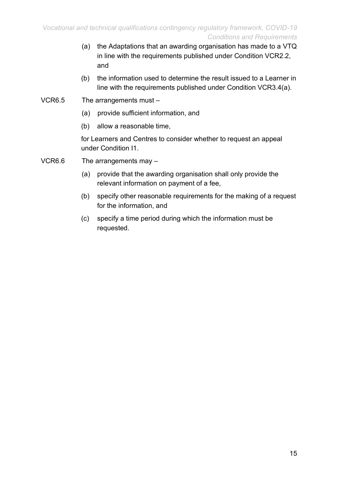- (a) the Adaptations that an awarding organisation has made to a VTQ in line with the requirements published under Condition VCR2.2, and
- (b) the information used to determine the result issued to a Learner in line with the requirements published under Condition VCR3.4(a).
- VCR6.5 The arrangements must
	- (a) provide sufficient information, and
	- (b) allow a reasonable time,

for Learners and Centres to consider whether to request an appeal under Condition I1.

- VCR6.6 The arrangements may
	- (a) provide that the awarding organisation shall only provide the relevant information on payment of a fee,
	- (b) specify other reasonable requirements for the making of a request for the information, and
	- (c) specify a time period during which the information must be requested.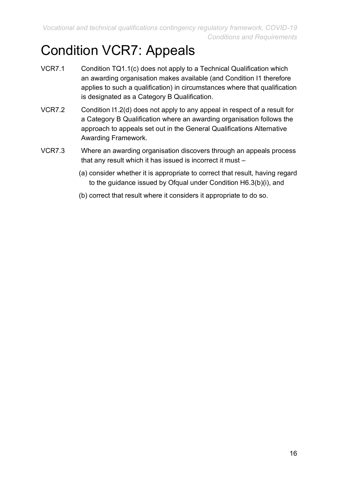*Vocational and technical qualifications contingency regulatory framework, COVID-19 Conditions and Requirements*

## <span id="page-15-0"></span>Condition VCR7: Appeals

- VCR7.1 Condition TQ1.1(c) does not apply to a Technical Qualification which an awarding organisation makes available (and Condition I1 therefore applies to such a qualification) in circumstances where that qualification is designated as a Category B Qualification.
- VCR7.2 Condition I1.2(d) does not apply to any appeal in respect of a result for a Category B Qualification where an awarding organisation follows the approach to appeals set out in the General Qualifications Alternative Awarding Framework.
- VCR7.3 Where an awarding organisation discovers through an appeals process that any result which it has issued is incorrect it must –
	- (a) consider whether it is appropriate to correct that result, having regard to the guidance issued by Ofqual under Condition H6.3(b)(i), and
	- (b) correct that result where it considers it appropriate to do so.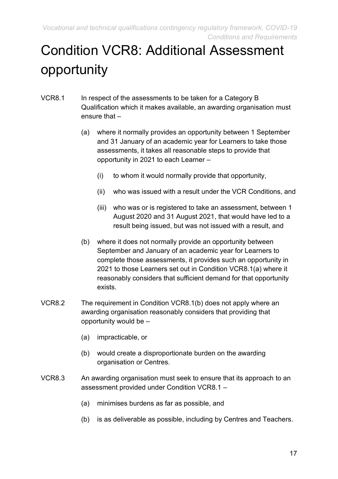*Vocational and technical qualifications contingency regulatory framework, COVID-19 Conditions and Requirements*

# <span id="page-16-0"></span>Condition VCR8: Additional Assessment opportunity

- VCR8.1 In respect of the assessments to be taken for a Category B Qualification which it makes available, an awarding organisation must ensure that –
	- (a) where it normally provides an opportunity between 1 September and 31 January of an academic year for Learners to take those assessments, it takes all reasonable steps to provide that opportunity in 2021 to each Learner –
		- (i) to whom it would normally provide that opportunity,
		- (ii) who was issued with a result under the VCR Conditions, and
		- (iii) who was or is registered to take an assessment, between 1 August 2020 and 31 August 2021, that would have led to a result being issued, but was not issued with a result, and
	- (b) where it does not normally provide an opportunity between September and January of an academic year for Learners to complete those assessments, it provides such an opportunity in 2021 to those Learners set out in Condition VCR8.1(a) where it reasonably considers that sufficient demand for that opportunity exists.
- VCR8.2 The requirement in Condition VCR8.1(b) does not apply where an awarding organisation reasonably considers that providing that opportunity would be –
	- (a) impracticable, or
	- (b) would create a disproportionate burden on the awarding organisation or Centres.
- VCR8.3 An awarding organisation must seek to ensure that its approach to an assessment provided under Condition VCR8.1 –
	- (a) minimises burdens as far as possible, and
	- (b) is as deliverable as possible, including by Centres and Teachers.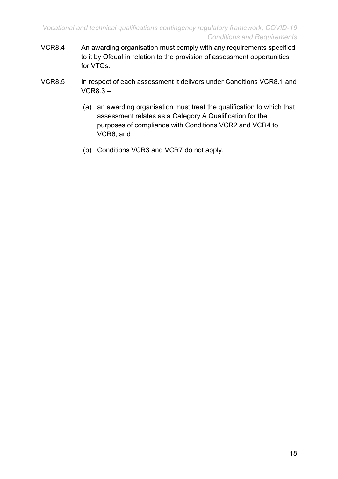- VCR8.4 An awarding organisation must comply with any requirements specified to it by Ofqual in relation to the provision of assessment opportunities for VTQs.
- VCR8.5 In respect of each assessment it delivers under Conditions VCR8.1 and VCR8.3 –
	- (a) an awarding organisation must treat the qualification to which that assessment relates as a Category A Qualification for the purposes of compliance with Conditions VCR2 and VCR4 to VCR6, and
	- (b) Conditions VCR3 and VCR7 do not apply.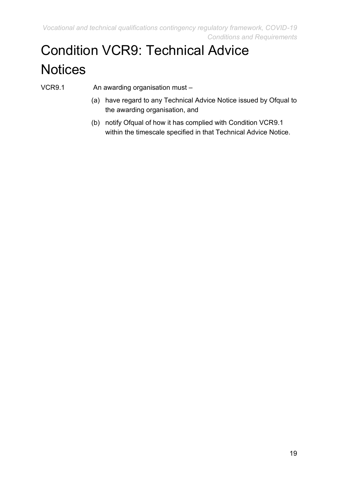# <span id="page-18-0"></span>Condition VCR9: Technical Advice **Notices**

- VCR9.1 An awarding organisation must -
	- (a) have regard to any Technical Advice Notice issued by Ofqual to the awarding organisation, and
	- (b) notify Ofqual of how it has complied with Condition VCR9.1 within the timescale specified in that Technical Advice Notice.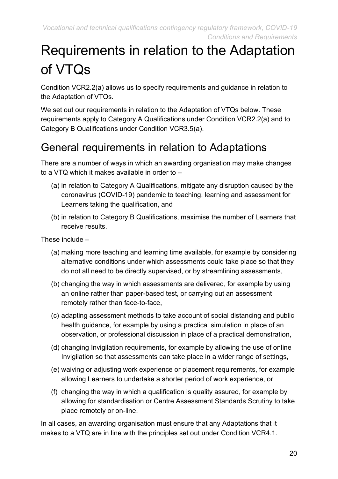# <span id="page-19-0"></span>Requirements in relation to the Adaptation of VTQs

Condition VCR2.2(a) allows us to specify requirements and guidance in relation to the Adaptation of VTQs.

We set out our requirements in relation to the Adaptation of VTQs below. These requirements apply to Category A Qualifications under Condition VCR2.2(a) and to Category B Qualifications under Condition VCR3.5(a).

### <span id="page-19-1"></span>General requirements in relation to Adaptations

There are a number of ways in which an awarding organisation may make changes to a VTQ which it makes available in order to –

- (a) in relation to Category A Qualifications, mitigate any disruption caused by the coronavirus (COVID-19) pandemic to teaching, learning and assessment for Learners taking the qualification, and
- (b) in relation to Category B Qualifications, maximise the number of Learners that receive results.

These include –

- (a) making more teaching and learning time available, for example by considering alternative conditions under which assessments could take place so that they do not all need to be directly supervised, or by streamlining assessments,
- (b) changing the way in which assessments are delivered, for example by using an online rather than paper-based test, or carrying out an assessment remotely rather than face-to-face,
- (c) adapting assessment methods to take account of social distancing and public health guidance, for example by using a practical simulation in place of an observation, or professional discussion in place of a practical demonstration,
- (d) changing Invigilation requirements, for example by allowing the use of online Invigilation so that assessments can take place in a wider range of settings,
- (e) waiving or adjusting work experience or placement requirements, for example allowing Learners to undertake a shorter period of work experience, or
- (f) changing the way in which a qualification is quality assured, for example by allowing for standardisation or Centre Assessment Standards Scrutiny to take place remotely or on-line.

In all cases, an awarding organisation must ensure that any Adaptations that it makes to a VTQ are in line with the principles set out under Condition VCR4.1.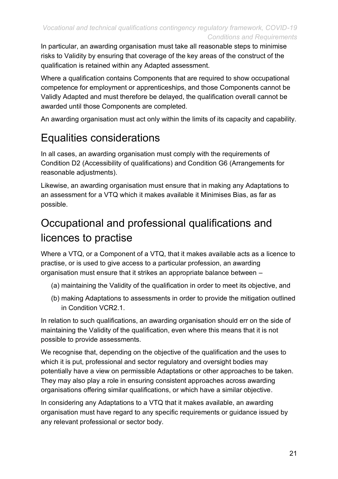In particular, an awarding organisation must take all reasonable steps to minimise risks to Validity by ensuring that coverage of the key areas of the construct of the qualification is retained within any Adapted assessment.

Where a qualification contains Components that are required to show occupational competence for employment or apprenticeships, and those Components cannot be Validly Adapted and must therefore be delayed, the qualification overall cannot be awarded until those Components are completed.

An awarding organisation must act only within the limits of its capacity and capability.

### <span id="page-20-0"></span>Equalities considerations

In all cases, an awarding organisation must comply with the requirements of Condition D2 (Accessibility of qualifications) and Condition G6 (Arrangements for reasonable adjustments).

Likewise, an awarding organisation must ensure that in making any Adaptations to an assessment for a VTQ which it makes available it Minimises Bias, as far as possible.

## <span id="page-20-1"></span>Occupational and professional qualifications and licences to practise

Where a VTQ, or a Component of a VTQ, that it makes available acts as a licence to practise, or is used to give access to a particular profession, an awarding organisation must ensure that it strikes an appropriate balance between –

- (a) maintaining the Validity of the qualification in order to meet its objective, and
- (b) making Adaptations to assessments in order to provide the mitigation outlined in Condition VCR2.1.

In relation to such qualifications, an awarding organisation should err on the side of maintaining the Validity of the qualification, even where this means that it is not possible to provide assessments.

We recognise that, depending on the objective of the qualification and the uses to which it is put, professional and sector regulatory and oversight bodies may potentially have a view on permissible Adaptations or other approaches to be taken. They may also play a role in ensuring consistent approaches across awarding organisations offering similar qualifications, or which have a similar objective.

In considering any Adaptations to a VTQ that it makes available, an awarding organisation must have regard to any specific requirements or guidance issued by any relevant professional or sector body.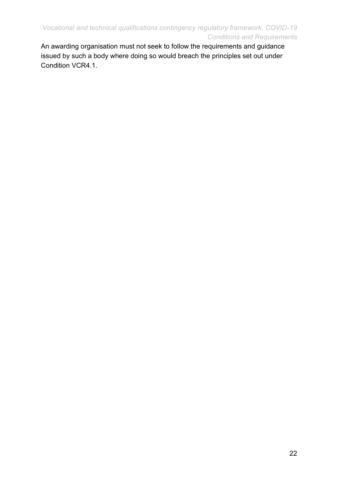An awarding organisation must not seek to follow the requirements and guidance issued by such a body where doing so would breach the principles set out under Condition VCR4.1.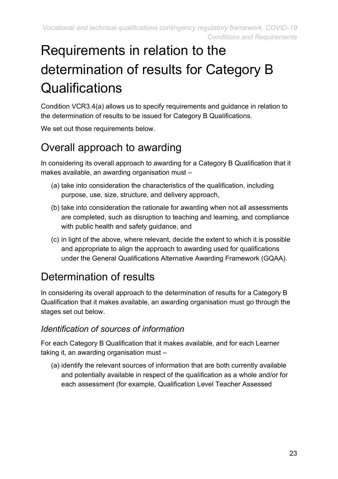# <span id="page-22-0"></span>Requirements in relation to the determination of results for Category B **Qualifications**

Condition VCR3.4(a) allows us to specify requirements and guidance in relation to the determination of results to be issued for Category B Qualifications.

We set out those requirements below.

## <span id="page-22-1"></span>Overall approach to awarding

In considering its overall approach to awarding for a Category B Qualification that it makes available, an awarding organisation must –

- (a) take into consideration the characteristics of the qualification, including purpose, use, size, structure, and delivery approach,
- (b) take into consideration the rationale for awarding when not all assessments are completed, such as disruption to teaching and learning, and compliance with public health and safety guidance, and
- (c) in light of the above, where relevant, decide the extent to which it is possible and appropriate to align the approach to awarding used for qualifications under the General Qualifications Alternative Awarding Framework (GQAA).

### <span id="page-22-2"></span>Determination of results

In considering its overall approach to the determination of results for a Category B Qualification that it makes available, an awarding organisation must go through the stages set out below.

#### *Identification of sources of information*

For each Category B Qualification that it makes available, and for each Learner taking it, an awarding organisation must –

(a) identify the relevant sources of information that are both currently available and potentially available in respect of the qualification as a whole and/or for each assessment (for example, Qualification Level Teacher Assessed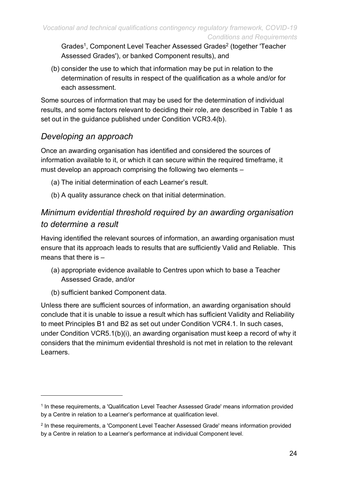Grades<sup>1</sup>, Component Level Teacher Assessed Grades<sup>2</sup> (together 'Teacher Assessed Grades'), or banked Component results), and

(b) consider the use to which that information may be put in relation to the determination of results in respect of the qualification as a whole and/or for each assessment.

Some sources of information that may be used for the determination of individual results, and some factors relevant to deciding their role, are described in Table 1 as set out in the guidance published under Condition VCR3.4(b).

#### *Developing an approach*

Once an awarding organisation has identified and considered the sources of information available to it, or which it can secure within the required timeframe, it must develop an approach comprising the following two elements –

- (a) The initial determination of each Learner's result.
- (b) A quality assurance check on that initial determination.

### *Minimum evidential threshold required by an awarding organisation to determine a result*

Having identified the relevant sources of information, an awarding organisation must ensure that its approach leads to results that are sufficiently Valid and Reliable. This means that there is –

- (a) appropriate evidence available to Centres upon which to base a Teacher Assessed Grade, and/or
- (b) sufficient banked Component data.

Unless there are sufficient sources of information, an awarding organisation should conclude that it is unable to issue a result which has sufficient Validity and Reliability to meet Principles B1 and B2 as set out under Condition VCR4.1. In such cases, under Condition VCR5.1(b)(i), an awarding organisation must keep a record of why it considers that the minimum evidential threshold is not met in relation to the relevant Learners.

<sup>&</sup>lt;sup>1</sup> In these requirements, a 'Qualification Level Teacher Assessed Grade' means information provided by a Centre in relation to a Learner's performance at qualification level.

<sup>&</sup>lt;sup>2</sup> In these requirements, a 'Component Level Teacher Assessed Grade' means information provided by a Centre in relation to a Learner's performance at individual Component level.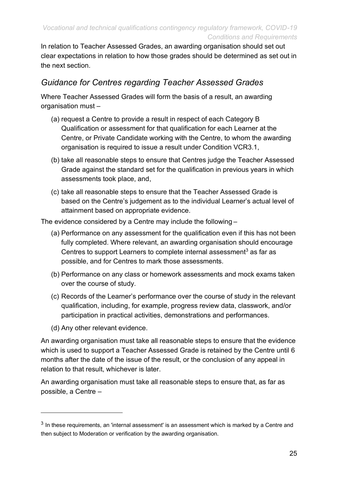In relation to Teacher Assessed Grades, an awarding organisation should set out clear expectations in relation to how those grades should be determined as set out in the next section.

### *Guidance for Centres regarding Teacher Assessed Grades*

Where Teacher Assessed Grades will form the basis of a result, an awarding organisation must –

- (a) request a Centre to provide a result in respect of each Category B Qualification or assessment for that qualification for each Learner at the Centre, or Private Candidate working with the Centre, to whom the awarding organisation is required to issue a result under Condition VCR3.1,
- (b) take all reasonable steps to ensure that Centres judge the Teacher Assessed Grade against the standard set for the qualification in previous years in which assessments took place, and,
- (c) take all reasonable steps to ensure that the Teacher Assessed Grade is based on the Centre's judgement as to the individual Learner's actual level of attainment based on appropriate evidence.

The evidence considered by a Centre may include the following –

- (a) Performance on any assessment for the qualification even if this has not been fully completed. Where relevant, an awarding organisation should encourage Centres to support Learners to complete internal assessment<sup>3</sup> as far as possible, and for Centres to mark those assessments.
- (b) Performance on any class or homework assessments and mock exams taken over the course of study.
- (c) Records of the Learner's performance over the course of study in the relevant qualification, including, for example, progress review data, classwork, and/or participation in practical activities, demonstrations and performances.
- (d) Any other relevant evidence.

An awarding organisation must take all reasonable steps to ensure that the evidence which is used to support a Teacher Assessed Grade is retained by the Centre until 6 months after the date of the issue of the result, or the conclusion of any appeal in relation to that result, whichever is later.

An awarding organisation must take all reasonable steps to ensure that, as far as possible, a Centre –

 $3$  In these requirements, an 'internal assessment' is an assessment which is marked by a Centre and then subject to Moderation or verification by the awarding organisation.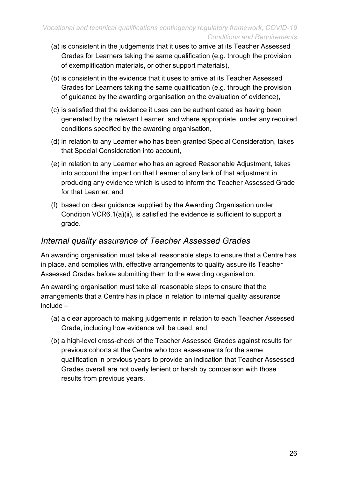- (a) is consistent in the judgements that it uses to arrive at its Teacher Assessed Grades for Learners taking the same qualification (e.g. through the provision of exemplification materials, or other support materials),
- (b) is consistent in the evidence that it uses to arrive at its Teacher Assessed Grades for Learners taking the same qualification (e.g. through the provision of guidance by the awarding organisation on the evaluation of evidence),
- (c) is satisfied that the evidence it uses can be authenticated as having been generated by the relevant Learner, and where appropriate, under any required conditions specified by the awarding organisation,
- (d) in relation to any Learner who has been granted Special Consideration, takes that Special Consideration into account,
- (e) in relation to any Learner who has an agreed Reasonable Adjustment, takes into account the impact on that Learner of any lack of that adjustment in producing any evidence which is used to inform the Teacher Assessed Grade for that Learner, and
- (f) based on clear guidance supplied by the Awarding Organisation under Condition VCR6.1(a)(ii), is satisfied the evidence is sufficient to support a grade.

#### *Internal quality assurance of Teacher Assessed Grades*

An awarding organisation must take all reasonable steps to ensure that a Centre has in place, and complies with, effective arrangements to quality assure its Teacher Assessed Grades before submitting them to the awarding organisation.

An awarding organisation must take all reasonable steps to ensure that the arrangements that a Centre has in place in relation to internal quality assurance include –

- (a) a clear approach to making judgements in relation to each Teacher Assessed Grade, including how evidence will be used, and
- (b) a high-level cross-check of the Teacher Assessed Grades against results for previous cohorts at the Centre who took assessments for the same qualification in previous years to provide an indication that Teacher Assessed Grades overall are not overly lenient or harsh by comparison with those results from previous years.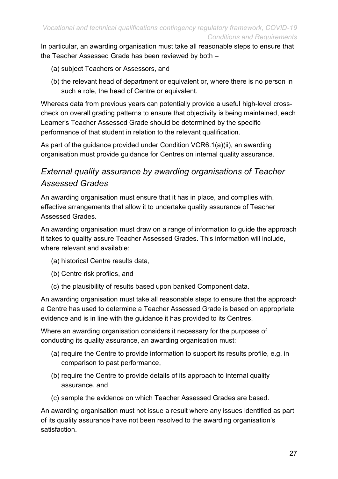In particular, an awarding organisation must take all reasonable steps to ensure that the Teacher Assessed Grade has been reviewed by both –

- (a) subject Teachers or Assessors, and
- (b) the relevant head of department or equivalent or, where there is no person in such a role, the head of Centre or equivalent.

Whereas data from previous years can potentially provide a useful high-level crosscheck on overall grading patterns to ensure that objectivity is being maintained, each Learner's Teacher Assessed Grade should be determined by the specific performance of that student in relation to the relevant qualification.

As part of the guidance provided under Condition VCR6.1(a)(ii), an awarding organisation must provide guidance for Centres on internal quality assurance.

### *External quality assurance by awarding organisations of Teacher Assessed Grades*

An awarding organisation must ensure that it has in place, and complies with, effective arrangements that allow it to undertake quality assurance of Teacher Assessed Grades.

An awarding organisation must draw on a range of information to guide the approach it takes to quality assure Teacher Assessed Grades. This information will include, where relevant and available:

- (a) historical Centre results data,
- (b) Centre risk profiles, and
- (c) the plausibility of results based upon banked Component data.

An awarding organisation must take all reasonable steps to ensure that the approach a Centre has used to determine a Teacher Assessed Grade is based on appropriate evidence and is in line with the guidance it has provided to its Centres.

Where an awarding organisation considers it necessary for the purposes of conducting its quality assurance, an awarding organisation must:

- (a) require the Centre to provide information to support its results profile, e.g. in comparison to past performance,
- (b) require the Centre to provide details of its approach to internal quality assurance, and
- (c) sample the evidence on which Teacher Assessed Grades are based.

An awarding organisation must not issue a result where any issues identified as part of its quality assurance have not been resolved to the awarding organisation's satisfaction.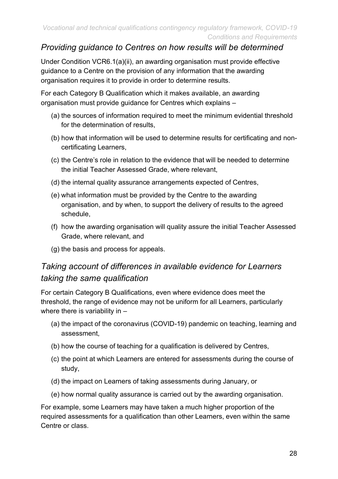#### *Providing guidance to Centres on how results will be determined*

Under Condition VCR6.1(a)(ii), an awarding organisation must provide effective guidance to a Centre on the provision of any information that the awarding organisation requires it to provide in order to determine results.

For each Category B Qualification which it makes available, an awarding organisation must provide guidance for Centres which explains –

- (a) the sources of information required to meet the minimum evidential threshold for the determination of results,
- (b) how that information will be used to determine results for certificating and noncertificating Learners,
- (c) the Centre's role in relation to the evidence that will be needed to determine the initial Teacher Assessed Grade, where relevant,
- (d) the internal quality assurance arrangements expected of Centres,
- (e) what information must be provided by the Centre to the awarding organisation, and by when, to support the delivery of results to the agreed schedule,
- (f) how the awarding organisation will quality assure the initial Teacher Assessed Grade, where relevant, and
- (g) the basis and process for appeals.

#### *Taking account of differences in available evidence for Learners taking the same qualification*

For certain Category B Qualifications, even where evidence does meet the threshold, the range of evidence may not be uniform for all Learners, particularly where there is variability in -

- (a) the impact of the coronavirus (COVID-19) pandemic on teaching, learning and assessment,
- (b) how the course of teaching for a qualification is delivered by Centres,
- (c) the point at which Learners are entered for assessments during the course of study,
- (d) the impact on Learners of taking assessments during January, or
- (e) how normal quality assurance is carried out by the awarding organisation.

For example, some Learners may have taken a much higher proportion of the required assessments for a qualification than other Learners, even within the same Centre or class.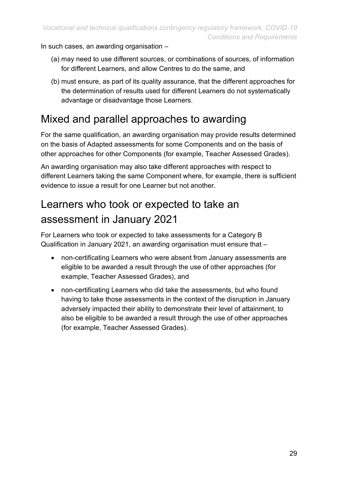In such cases, an awarding organisation –

- (a) may need to use different sources, or combinations of sources, of information for different Learners, and allow Centres to do the same, and
- (b) must ensure, as part of its quality assurance, that the different approaches for the determination of results used for different Learners do not systematically advantage or disadvantage those Learners.

### <span id="page-28-0"></span>Mixed and parallel approaches to awarding

For the same qualification, an awarding organisation may provide results determined on the basis of Adapted assessments for some Components and on the basis of other approaches for other Components (for example, Teacher Assessed Grades).

An awarding organisation may also take different approaches with respect to different Learners taking the same Component where, for example, there is sufficient evidence to issue a result for one Learner but not another.

### <span id="page-28-1"></span>Learners who took or expected to take an assessment in January 2021

For Learners who took or expected to take assessments for a Category B Qualification in January 2021, an awarding organisation must ensure that –

- non-certificating Learners who were absent from January assessments are eligible to be awarded a result through the use of other approaches (for example, Teacher Assessed Grades), and
- non-certificating Learners who did take the assessments, but who found having to take those assessments in the context of the disruption in January adversely impacted their ability to demonstrate their level of attainment, to also be eligible to be awarded a result through the use of other approaches (for example, Teacher Assessed Grades).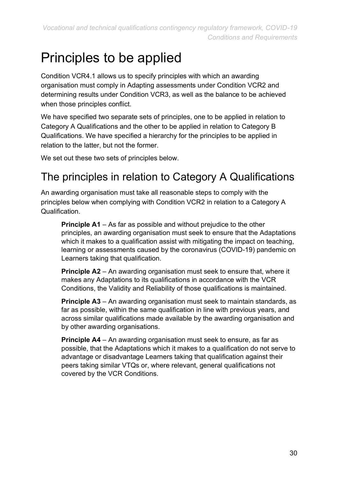## <span id="page-29-0"></span>Principles to be applied

Condition VCR4.1 allows us to specify principles with which an awarding organisation must comply in Adapting assessments under Condition VCR2 and determining results under Condition VCR3, as well as the balance to be achieved when those principles conflict.

We have specified two separate sets of principles, one to be applied in relation to Category A Qualifications and the other to be applied in relation to Category B Qualifications. We have specified a hierarchy for the principles to be applied in relation to the latter, but not the former.

We set out these two sets of principles below.

### <span id="page-29-1"></span>The principles in relation to Category A Qualifications

An awarding organisation must take all reasonable steps to comply with the principles below when complying with Condition VCR2 in relation to a Category A Qualification.

**Principle A1** – As far as possible and without prejudice to the other principles, an awarding organisation must seek to ensure that the Adaptations which it makes to a qualification assist with mitigating the impact on teaching, learning or assessments caused by the coronavirus (COVID-19) pandemic on Learners taking that qualification.

**Principle A2** – An awarding organisation must seek to ensure that, where it makes any Adaptations to its qualifications in accordance with the VCR Conditions, the Validity and Reliability of those qualifications is maintained.

**Principle A3** – An awarding organisation must seek to maintain standards, as far as possible, within the same qualification in line with previous years, and across similar qualifications made available by the awarding organisation and by other awarding organisations.

**Principle A4** – An awarding organisation must seek to ensure, as far as possible, that the Adaptations which it makes to a qualification do not serve to advantage or disadvantage Learners taking that qualification against their peers taking similar VTQs or, where relevant, general qualifications not covered by the VCR Conditions.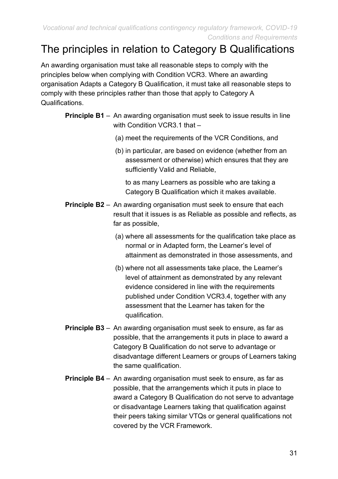### <span id="page-30-0"></span>The principles in relation to Category B Qualifications

An awarding organisation must take all reasonable steps to comply with the principles below when complying with Condition VCR3. Where an awarding organisation Adapts a Category B Qualification, it must take all reasonable steps to comply with these principles rather than those that apply to Category A Qualifications.

- **Principle B1** An awarding organisation must seek to issue results in line with Condition VCR3.1 that -
	- (a) meet the requirements of the VCR Conditions, and
	- (b) in particular, are based on evidence (whether from an assessment or otherwise) which ensures that they are sufficiently Valid and Reliable,

to as many Learners as possible who are taking a Category B Qualification which it makes available.

- **Principle B2** An awarding organisation must seek to ensure that each result that it issues is as Reliable as possible and reflects, as far as possible,
	- (a) where all assessments for the qualification take place as normal or in Adapted form, the Learner's level of attainment as demonstrated in those assessments, and
	- (b) where not all assessments take place, the Learner's level of attainment as demonstrated by any relevant evidence considered in line with the requirements published under Condition VCR3.4, together with any assessment that the Learner has taken for the qualification.
- **Principle B3** An awarding organisation must seek to ensure, as far as possible, that the arrangements it puts in place to award a Category B Qualification do not serve to advantage or disadvantage different Learners or groups of Learners taking the same qualification.
- **Principle B4**  An awarding organisation must seek to ensure, as far as possible, that the arrangements which it puts in place to award a Category B Qualification do not serve to advantage or disadvantage Learners taking that qualification against their peers taking similar VTQs or general qualifications not covered by the VCR Framework.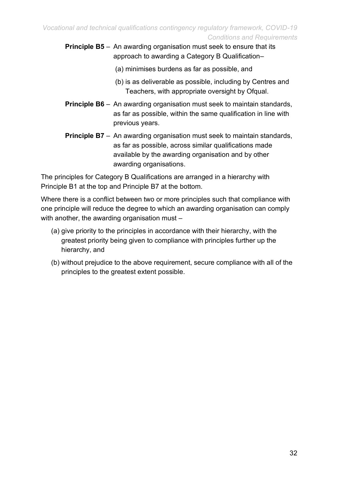**Principle B5** – An awarding organisation must seek to ensure that its approach to awarding a Category B Qualification–

- (a) minimises burdens as far as possible, and
- (b) is as deliverable as possible, including by Centres and Teachers, with appropriate oversight by Ofqual.
- **Principle B6** An awarding organisation must seek to maintain standards, as far as possible, within the same qualification in line with previous years.
- **Principle B7** An awarding organisation must seek to maintain standards, as far as possible, across similar qualifications made available by the awarding organisation and by other awarding organisations.

The principles for Category B Qualifications are arranged in a hierarchy with Principle B1 at the top and Principle B7 at the bottom.

Where there is a conflict between two or more principles such that compliance with one principle will reduce the degree to which an awarding organisation can comply with another, the awarding organisation must –

- (a) give priority to the principles in accordance with their hierarchy, with the greatest priority being given to compliance with principles further up the hierarchy, and
- (b) without prejudice to the above requirement, secure compliance with all of the principles to the greatest extent possible.